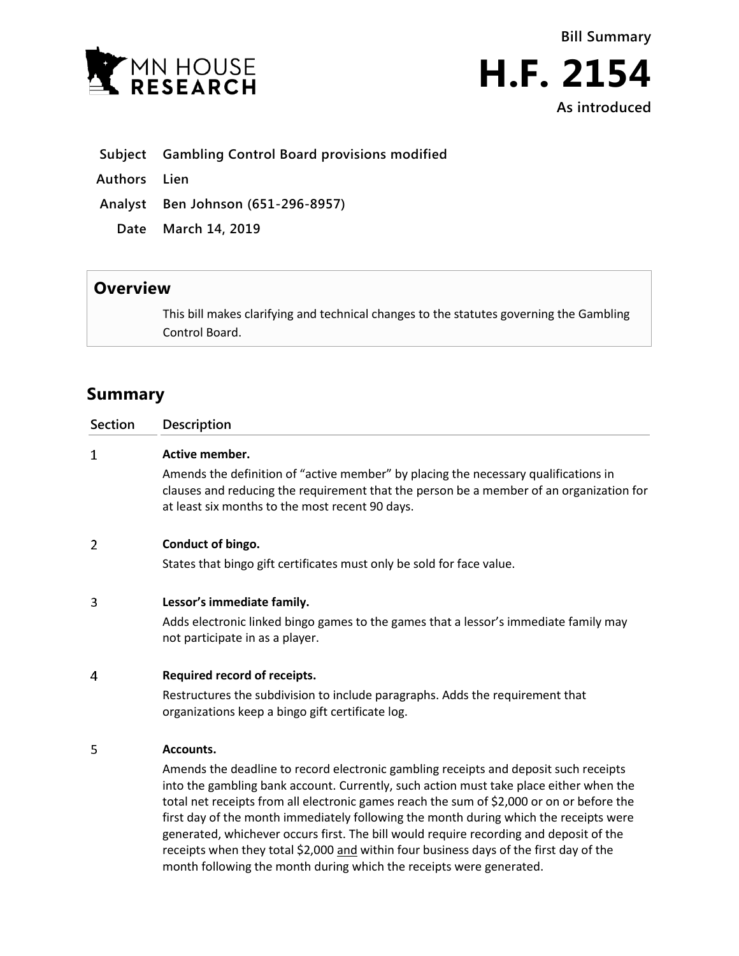



## **Subject Gambling Control Board provisions modified**

**Authors Lien**

**Analyst Ben Johnson (651-296-8957)**

**Date March 14, 2019**

## **Overview**

This bill makes clarifying and technical changes to the statutes governing the Gambling Control Board.

## **Summary**

| <b>Section</b> | Description                                                                                                                                                                                                                                                                                                                                                          |
|----------------|----------------------------------------------------------------------------------------------------------------------------------------------------------------------------------------------------------------------------------------------------------------------------------------------------------------------------------------------------------------------|
| $\mathbf{1}$   | <b>Active member.</b>                                                                                                                                                                                                                                                                                                                                                |
|                | Amends the definition of "active member" by placing the necessary qualifications in<br>clauses and reducing the requirement that the person be a member of an organization for<br>at least six months to the most recent 90 days.                                                                                                                                    |
| 2              | Conduct of bingo.                                                                                                                                                                                                                                                                                                                                                    |
|                | States that bingo gift certificates must only be sold for face value.                                                                                                                                                                                                                                                                                                |
| 3              | Lessor's immediate family.                                                                                                                                                                                                                                                                                                                                           |
|                | Adds electronic linked bingo games to the games that a lessor's immediate family may<br>not participate in as a player.                                                                                                                                                                                                                                              |
| 4              | Required record of receipts.                                                                                                                                                                                                                                                                                                                                         |
|                | Restructures the subdivision to include paragraphs. Adds the requirement that<br>organizations keep a bingo gift certificate log.                                                                                                                                                                                                                                    |
| 5              | Accounts.                                                                                                                                                                                                                                                                                                                                                            |
|                | Amends the deadline to record electronic gambling receipts and deposit such receipts<br>into the gambling bank account. Currently, such action must take place either when the<br>total net receipts from all electronic games reach the sum of \$2,000 or on or before the<br>first day of the month immediately following the month during which the receipts were |

generated, whichever occurs first. The bill would require recording and deposit of the receipts when they total \$2,000 and within four business days of the first day of the

month following the month during which the receipts were generated.